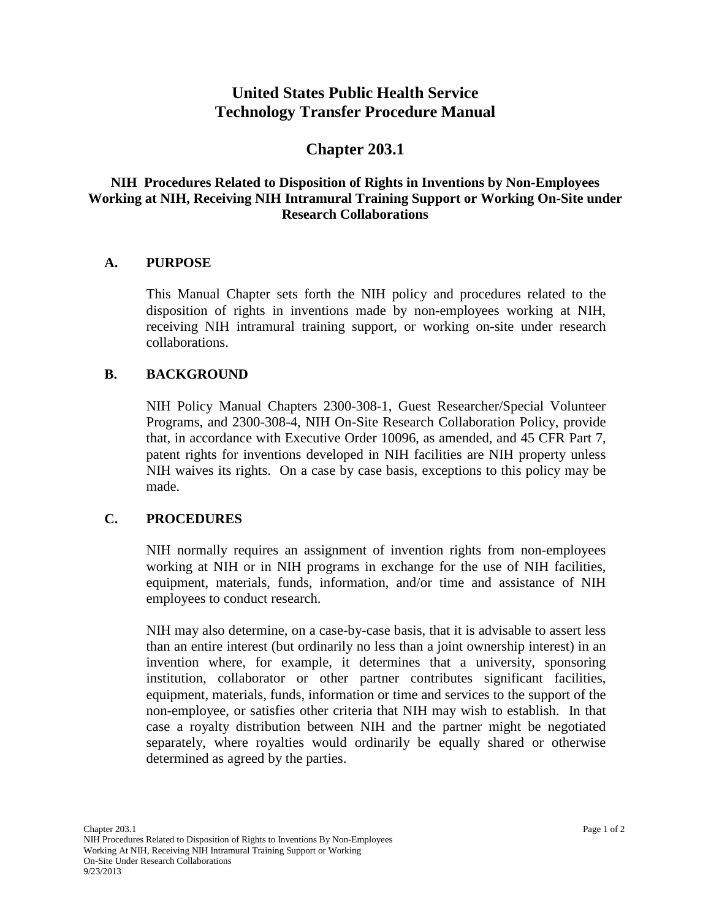# **United States Public Health Service Technology Transfer Procedure Manual**

## **Chapter 203.1**

## **NIH Procedures Related to Disposition of Rights in Inventions by Non-Employees Working at NIH, Receiving NIH Intramural Training Support or Working On-Site under Research Collaborations**

#### **A. PURPOSE**

This Manual Chapter sets forth the NIH policy and procedures related to the disposition of rights in inventions made by non-employees working at NIH, receiving NIH intramural training support, or working on-site under research collaborations.

#### **B. BACKGROUND**

NIH Policy Manual Chapters 2300-308-1, Guest Researcher/Special Volunteer Programs, and 2300-308-4, NIH On-Site Research Collaboration Policy, provide that, in accordance with Executive Order 10096, as amended, and 45 CFR Part 7, patent rights for inventions developed in NIH facilities are NIH property unless NIH waives its rights. On a case by case basis, exceptions to this policy may be made.

#### **C. PROCEDURES**

NIH normally requires an assignment of invention rights from non-employees working at NIH or in NIH programs in exchange for the use of NIH facilities, equipment, materials, funds, information, and/or time and assistance of NIH employees to conduct research.

NIH may also determine, on a case-by-case basis, that it is advisable to assert less than an entire interest (but ordinarily no less than a joint ownership interest) in an invention where, for example, it determines that a university, sponsoring institution, collaborator or other partner contributes significant facilities, equipment, materials, funds, information or time and services to the support of the non-employee, or satisfies other criteria that NIH may wish to establish. In that case a royalty distribution between NIH and the partner might be negotiated separately, where royalties would ordinarily be equally shared or otherwise determined as agreed by the parties.